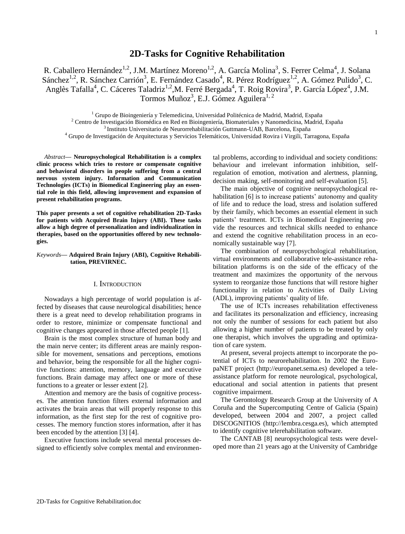# **2D-Tasks for Cognitive Rehabilitation**

R. Caballero Hernández<sup>1,2</sup>, J.M. Martínez Moreno<sup>1,2</sup>, A. García Molina<sup>3</sup>, S. Ferrer Celma<sup>4</sup>, J. Solana Sánchez<sup>1,2</sup>, R. Sánchez Carrión<sup>3</sup>, E. Fernández Casado<sup>4</sup>, R. Pérez Rodríguez<sup>1,2</sup>, A. Gómez Pulido<sup>3</sup>, C. Anglès Tafalla<sup>4</sup>, C. Cáceres Taladriz<sup>1,2</sup>,M. Ferré Bergada<sup>4</sup>, T. Roig Rovira<sup>3</sup>, P. García López<sup>4</sup>, J.M. Tormos Muñoz<sup>3</sup>, E.J. Gómez Aguilera<sup>1, 2</sup>

<sup>1</sup> Grupo de Bioingeniería y Telemedicina, Universidad Politécnica de Madrid, Madrid, España

<sup>2</sup> Centro de Investigación Biomédica en Red en Bioingeniería, Biomateriales y Nanomedicina, Madrid, España

<sup>3</sup> Instituto Universitario de Neurorrehabilitación Guttmann-UAB, Barcelona, España

<sup>4</sup> Grupo de Investigación de Arquitecturas y Servicios Telemáticos, Universidad Rovira i Virgili, Tarragona, España

*Abstract***— Neuropsychological Rehabilitation is a complex clinic process which tries to restore or compensate cognitive and behavioral disorders in people suffering from a central nervous system injury. Information and Communication Technologies (ICTs) in Biomedical Engineering play an essential role in this field, allowing improvement and expansion of present rehabilitation programs.**

**This paper presents a set of cognitive rehabilitation 2D-Tasks for patients with Acquired Brain Injury (ABI). These tasks allow a high degree of personalization and individualization in therapies, based on the opportunities offered by new technologies.**

*Keywords***— Adquired Brain Injury (ABI), Cognitive Rehabilitation, PREVIRNEC.**

#### I. INTRODUCTION

Nowadays a high percentage of world population is affected by diseases that cause neurological disabilities; hence there is a great need to develop rehabilitation programs in order to restore, minimize or compensate functional and cognitive changes appeared in those affected people [1].

Brain is the most complex structure of human body and the main nerve center; its different areas are mainly responsible for movement, sensations and perceptions, emotions and behavior, being the responsible for all the higher cognitive functions: attention, memory, language and executive functions. Brain damage may affect one or more of these functions to a greater or lesser extent [2].

Attention and memory are the basis of cognitive processes. The attention function filters external information and activates the brain areas that will properly response to this information, as the first step for the rest of cognitive processes. The memory function stores information, after it has been encoded by the attention [3] [4].

Executive functions include several mental processes designed to efficiently solve complex mental and environmental problems, according to individual and society conditions: behaviour and irrelevant information inhibition, selfregulation of emotion, motivation and alertness, planning, decision making, self-monitoring and self-evaluation [5].

The main objective of cognitive neuropsychological rehabilitation [6] is to increase patients' autonomy and quality of life and to reduce the load, stress and isolation suffered by their family, which becomes an essential element in such patients" treatment. ICTs in Biomedical Engineering provide the resources and technical skills needed to enhance and extend the cognitive rehabilitation process in an economically sustainable way [7].

The combination of neuropsychological rehabilitation, virtual environments and collaborative tele-assistance rehabilitation platforms is on the side of the efficacy of the treatment and maximizes the opportunity of the nervous system to reorganize those functions that will restore higher functionality in relation to Activities of Daily Living (ADL), improving patients' quality of life.

The use of ICTs increases rehabilitation effectiveness and facilitates its personalization and efficiency, increasing not only the number of sessions for each patient but also allowing a higher number of patients to be treated by only one therapist, which involves the upgrading and optimization of care system.

At present, several projects attempt to incorporate the potential of ICTs to neurorehabilitation. In 2002 the EuropaNET project (http://europanet.sema.es) developed a teleassistance platform for remote neurological, psychological, educational and social attention in patients that present cognitive impairment.

The Gerontology Research Group at the University of A Coruña and the Supercomputing Centre of Galicia (Spain) developed, between 2004 and 2007, a project called DISCOGNITIOS (http://lembra.cesga.es), which attempted to identify cognitive telerehabilitation software.

The CANTAB [8] neuropsychological tests were developed more than 21 years ago at the University of Cambridge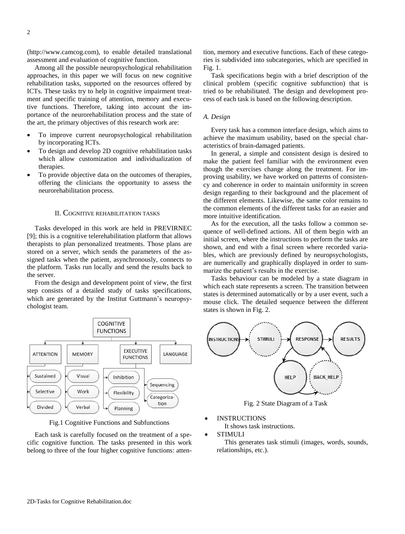(http://www.camcog.com), to enable detailed translational assessment and evaluation of cognitive function.

Among all the possible neuropsychological rehabilitation approaches, in this paper we will focus on new cognitive rehabilitation tasks, supported on the resources offered by ICTs. These tasks try to help in cognitive impairment treatment and specific training of attention, memory and executive functions. Therefore, taking into account the importance of the neurorehabilitation process and the state of the art, the primary objectives of this research work are:

- To improve current neuropsychological rehabilitation by incorporating ICTs.
- To design and develop 2D cognitive rehabilitation tasks which allow customization and individualization of therapies.
- To provide objective data on the outcomes of therapies, offering the clinicians the opportunity to assess the neurorehabilitation process.

# II. COGNITIVE REHABILITATION TASKS

Tasks developed in this work are held in PREVIRNEC [9]; this is a cognitive telerehabilitation platform that allows therapists to plan personalized treatments. Those plans are stored on a server, which sends the parameters of the assigned tasks when the patient, asynchronously, connects to the platform. Tasks run locally and send the results back to the server.

From the design and development point of view, the first step consists of a detailed study of tasks specifications, which are generated by the Institut Guttmann's neuropsychologist team.



Fig.1 Cognitive Functions and Subfunctions

Each task is carefully focused on the treatment of a specific cognitive function. The tasks presented in this work belong to three of the four higher cognitive functions: attention, memory and executive functions. Each of these categories is subdivided into subcategories, which are specified in Fig. 1.

Task specifications begin with a brief description of the clinical problem (specific cognitive subfunction) that is tried to be rehabilitated. The design and development process of each task is based on the following description.

#### *A. Design*

Every task has a common interface design, which aims to achieve the maximum usability, based on the special characteristics of brain-damaged patients.

In general, a simple and consistent design is desired to make the patient feel familiar with the environment even though the exercises change along the treatment. For improving usability, we have worked on patterns of consistency and coherence in order to maintain uniformity in screen design regarding to their background and the placement of the different elements. Likewise, the same color remains to the common elements of the different tasks for an easier and more intuitive identification.

As for the execution, all the tasks follow a common sequence of well-defined actions. All of them begin with an initial screen, where the instructions to perform the tasks are shown, and end with a final screen where recorded variables, which are previously defined by neuropsychologists, are numerically and graphically displayed in order to summarize the patient"s results in the exercise.

Tasks behaviour can be modeled by a state diagram in which each state represents a screen. The transition between states is determined automatically or by a user event, such a mouse click. The detailed sequence between the different states is shown in Fig. 2.



Fig. 2 State Diagram of a Task

INSTRUCTIONS

It shows task instructions.

STIMULI

This generates task stimuli (images, words, sounds, relationships, etc.).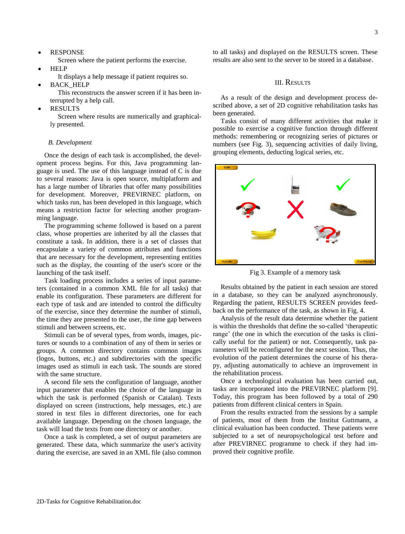RESPONSE

Screen where the patient performs the exercise.

- **HELP** 
	- It displays a help message if patient requires so.
- BACK\_HELP

This reconstructs the answer screen if it has been interrupted by a help call.

RESULTS

Screen where results are numerically and graphically presented.

# *B. Development*

Once the design of each task is accomplished, the development process begins. For this, Java programming language is used. The use of this language instead of C is due to several reasons: Java is open source, multiplatform and has a large number of libraries that offer many possibilities for development. Moreover, PREVIRNEC platform, on which tasks run, has been developed in this language, which means a restriction factor for selecting another programming language.

The programming scheme followed is based on a parent class, whose properties are inherited by all the classes that constitute a task. In addition, there is a set of classes that encapsulate a variety of common attributes and functions that are necessary for the development, representing entities such as the display, the counting of the user's score or the launching of the task itself.

Task loading process includes a series of input parameters (contained in a common XML file for all tasks) that enable its configuration. These parameters are different for each type of task and are intended to control the difficulty of the exercise, since they determine the number of stimuli, the time they are presented to the user, the time gap between stimuli and between screens, etc.

Stimuli can be of several types, from words, images, pictures or sounds to a combination of any of them in series or groups. A common directory contains common images (logos, buttons, etc.) and subdirectories with the specific images used as stimuli in each task. The sounds are stored with the same structure.

A second file sets the configuration of language, another input parameter that enables the choice of the language in which the task is performed (Spanish or Catalan). Texts displayed on screen (instructions, help messages, etc.) are stored in text files in different directories, one for each available language. Depending on the chosen language, the task will load the texts from one directory or another.

Once a task is completed, a set of output parameters are generated. These data, which summarize the user's activity during the exercise, are saved in an XML file (also common

to all tasks) and displayed on the RESULTS screen. These results are also sent to the server to be stored in a database.

# III. RESULTS

As a result of the design and development process described above, a set of 2D cognitive rehabilitation tasks has been generated.

Tasks consist of many different activities that make it possible to exercise a cognitive function through different methods: remembering or recognizing series of pictures or numbers (see Fig. 3), sequencing activities of daily living, grouping elements, deducting logical series, etc.



Fig 3. Example of a memory task

Results obtained by the patient in each session are stored in a database, so they can be analyzed asynchronously. Regarding the patient, RESULTS SCREEN provides feedback on the performance of the task, as shown in Fig. 4.

Analysis of the result data determine whether the patient is within the thresholds that define the so-called "therapeutic range' (the one in which the execution of the tasks is clinically useful for the patient) or not. Consequently, task parameters will be reconfigured for the next session. Thus, the evolution of the patient determines the course of his therapy, adjusting automatically to achieve an improvement in the rehabilitation process.

Once a technological evaluation has been carried out, tasks are incorporated into the PREVIRNEC platform [9]. Today, this program has been followed by a total of 290 patients from different clinical centers in Spain.

From the results extracted from the sessions by a sample of patients, most of them from the Institut Guttmann, a clinical evaluation has been conducted. These patients were subjected to a set of neuropsychological test before and after PREVIRNEC programme to check if they had improved their cognitive profile.